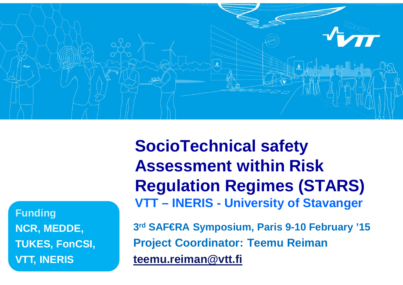

**Funding NCR, MEDDE, TUKES, FonCSI, VTT, INERIS**

**SocioTechnical safety Assessment within Risk Regulation Regimes (STARS) VTT – INERIS - University of Stavanger**

**3 rd SAF€RA Symposium, Paris 9-10 February '15 Project Coordinator: Teemu Reiman teemu.reiman@vtt.fi**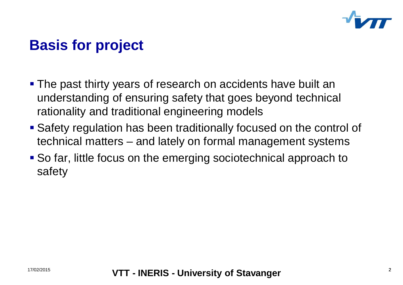

# **Basis for project**

- The past thirty years of research on accidents have built an understanding of ensuring safety that goes beyond technical rationality and traditional engineering models
- Safety regulation has been traditionally focused on the control of technical matters – and lately on formal management systems
- So far, little focus on the emerging sociotechnical approach to safety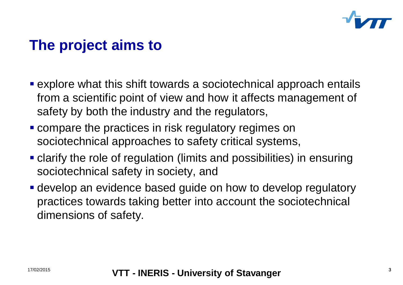

## **The project aims to**

- explore what this shift towards a sociotechnical approach entails from a scientific point of view and how it affects management of safety by both the industry and the regulators,
- compare the practices in risk regulatory regimes on sociotechnical approaches to safety critical systems,
- clarify the role of regulation (limits and possibilities) in ensuring sociotechnical safety in society, and
- develop an evidence based guide on how to develop regulatory practices towards taking better into account the sociotechnical dimensions of safety.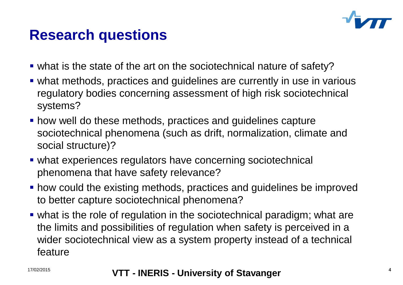

### **Research questions**

- what is the state of the art on the sociotechnical nature of safety?
- what methods, practices and guidelines are currently in use in various regulatory bodies concerning assessment of high risk sociotechnical systems?
- how well do these methods, practices and guidelines capture sociotechnical phenomena (such as drift, normalization, climate and social structure)?
- what experiences regulators have concerning sociotechnical phenomena that have safety relevance?
- how could the existing methods, practices and guidelines be improved to better capture sociotechnical phenomena?
- what is the role of regulation in the sociotechnical paradigm; what are the limits and possibilities of regulation when safety is perceived in a wider sociotechnical view as a system property instead of a technical feature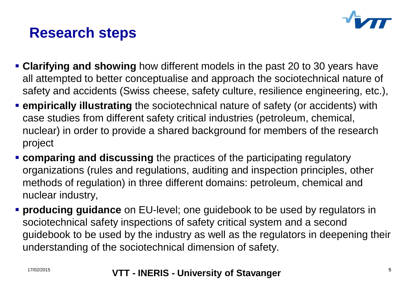

# **Research steps**

- **Clarifying and showing** how different models in the past 20 to 30 years have all attempted to better conceptualise and approach the sociotechnical nature of safety and accidents (Swiss cheese, safety culture, resilience engineering, etc.),
- **empirically illustrating** the sociotechnical nature of safety (or accidents) with case studies from different safety critical industries (petroleum, chemical, nuclear) in order to provide a shared background for members of the research project
- **Comparing and discussing** the practices of the participating regulatory organizations (rules and regulations, auditing and inspection principles, other methods of regulation) in three different domains: petroleum, chemical and nuclear industry,
- **producing guidance** on EU-level; one guidebook to be used by regulators in sociotechnical safety inspections of safety critical system and a second guidebook to be used by the industry as well as the regulators in deepening their understanding of the sociotechnical dimension of safety.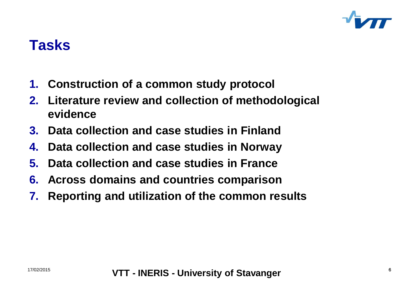

### **Tasks**

- **1. Construction of a common study protocol**
- **2. Literature review and collection of methodological evidence**
- **3. Data collection and case studies in Finland**
- **4. Data collection and case studies in Norway**
- **5. Data collection and case studies in France**
- **6. Across domains and countries comparison**
- **7. Reporting and utilization of the common results**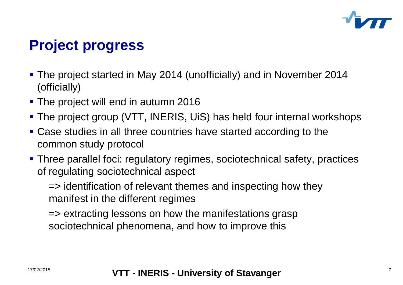

# **Project progress**

- The project started in May 2014 (unofficially) and in November 2014 (officially)
- The project will end in autumn 2016
- The project group (VTT, INERIS, UiS) has held four internal workshops
- Case studies in all three countries have started according to the common study protocol
- Three parallel foci: regulatory regimes, sociotechnical safety, practices of regulating sociotechnical aspect

=> identification of relevant themes and inspecting how they manifest in the different regimes

=> extracting lessons on how the manifestations grasp sociotechnical phenomena, and how to improve this

#### <sup>17/02/2015</sup> **17/02/2015 VTT - INERIS - University of Stavanger**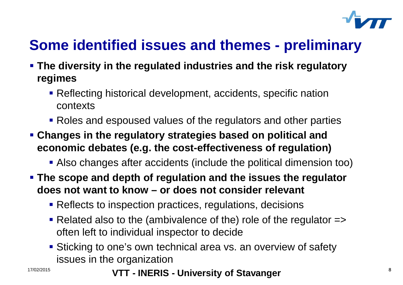

# **Some identified issues and themes - preliminary**

- **The diversity in the regulated industries and the risk regulatory regimes**
	- Reflecting historical development, accidents, specific nation contexts
	- Roles and espoused values of the regulators and other parties
- **Changes in the regulatory strategies based on political and economic debates (e.g. the cost-effectiveness of regulation)**
	- Also changes after accidents (include the political dimension too)
- **The scope and depth of regulation and the issues the regulator does not want to know – or does not consider relevant**
	- **Reflects to inspection practices, regulations, decisions**
	- Related also to the (ambivalence of the) role of the regulator  $\Rightarrow$ often left to individual inspector to decide
	- **Sticking to one's own technical area vs. an overview of safety** issues in the organization

<sup>17/02/2015</sup> **17/02/2015 VTT - INERIS - University of Stavanger**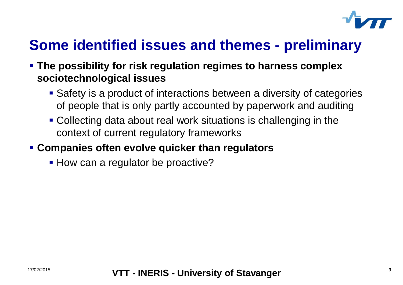

# **Some identified issues and themes - preliminary**

- **The possibility for risk regulation regimes to harness complex sociotechnological issues**
	- Safety is a product of interactions between a diversity of categories of people that is only partly accounted by paperwork and auditing
	- Collecting data about real work situations is challenging in the context of current regulatory frameworks

### **Companies often evolve quicker than regulators**

• How can a regulator be proactive?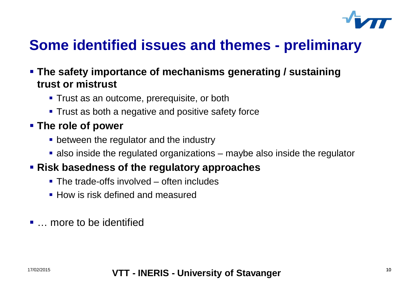

## **Some identified issues and themes - preliminary**

#### **The safety importance of mechanisms generating / sustaining trust or mistrust**

- **Trust as an outcome, prerequisite, or both**
- **Trust as both a negative and positive safety force**

### **The role of power**

- **between the regulator and the industry**
- also inside the regulated organizations maybe also inside the regulator

### **Risk basedness of the regulatory approaches**

- The trade-offs involved often includes
- **How is risk defined and measured**
- … more to be identified

#### 17/02/2015 10 **VTT - INERIS - University of Stavanger**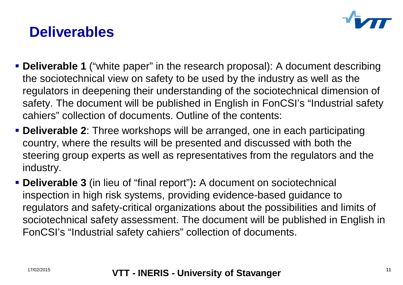

## **Deliverables**

- **Deliverable 1** ("white paper" in the research proposal): A document describing the sociotechnical view on safety to be used by the industry as well as the regulators in deepening their understanding of the sociotechnical dimension of safety. The document will be published in English in FonCSI's "Industrial safety cahiers" collection of documents. Outline of the contents:
- **Deliverable 2**: Three workshops will be arranged, one in each participating country, where the results will be presented and discussed with both the steering group experts as well as representatives from the regulators and the industry.
- **Deliverable 3** (in lieu of "final report")**:** A document on sociotechnical inspection in high risk systems, providing evidence-based guidance to regulators and safety-critical organizations about the possibilities and limits of sociotechnical safety assessment. The document will be published in English in FonCSI's "Industrial safety cahiers" collection of documents.